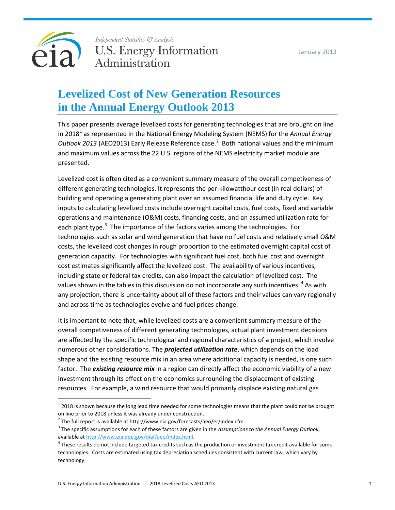

Independent Statistics & Analysis U.S. Energy Information Administration

# **Levelized Cost of New Generation Resources in the Annual Energy Outlook 2013**

This paper presents average levelized costs for generating technologies that are brought on line in 20[1](#page-0-0)8<sup>1</sup> as represented in the National Energy Modeling System (NEMS) for the *Annual Energy* Outlook [2](#page-0-1)013 (AEO2013) Early Release Reference case.<sup>2</sup> Both national values and the minimum and maximum values across the 22 U.S. regions of the NEMS electricity market module are presented.

Levelized cost is often cited as a convenient summary measure of the overall competiveness of different generating technologies. It represents the per-kilowatthour cost (in real dollars) of building and operating a generating plant over an assumed financial life and duty cycle. Key inputs to calculating levelized costs include overnight capital costs, fuel costs, fixed and variable operations and maintenance (O&M) costs, financing costs, and an assumed utilization rate for each plant type.<sup>[3](#page-0-2)</sup> The importance of the factors varies among the technologies. For technologies such as solar and wind generation that have no fuel costs and relatively small O&M costs, the levelized cost changes in rough proportion to the estimated overnight capital cost of generation capacity. For technologies with significant fuel cost, both fuel cost and overnight cost estimates significantly affect the levelized cost. The availability of various incentives, including state or federal tax credits, can also impact the calculation of levelized cost. The values shown in the tables in this discussion do not incorporate any such incentives. <sup>[4](#page-0-3)</sup> As with any projection, there is uncertainty about all of these factors and their values can vary regionally and across time as technologies evolve and fuel prices change.

It is important to note that, while levelized costs are a convenient summary measure of the overall competiveness of different generating technologies, actual plant investment decisions are affected by the specific technological and regional characteristics of a project, which involve numerous other considerations. The *projected utilization rate*, which depends on the load shape and the existing resource mix in an area where additional capacity is needed, is one such factor. The *existing resource mix* in a region can directly affect the economic viability of a new investment through its effect on the economics surrounding the displacement of existing resources. For example, a wind resource that would primarily displace existing natural gas

<span id="page-0-0"></span> $1$  2018 is shown because the long lead time needed for some technologies means that the plant could not be brought on line prior to 2018 unless it was already under construction.

<span id="page-0-1"></span> $2$  The full report is available at http://www.eia.gov/forecasts/aeo/er/index.cfm.

<span id="page-0-2"></span><sup>3</sup> The specific assumptions for each of these factors are given in the *Assumptions to the Annual Energy Outlook*, available at [http://www.eia.doe.gov/oiaf/aeo/index.html.](http://www.eia.doe.gov/oiaf/aeo/index.html)

<span id="page-0-3"></span> $4$  These results do not include targeted tax credits such as the production or investment tax credit available for some technologies. Costs are estimated using tax depreciation schedules consistent with current law, which vary by technology.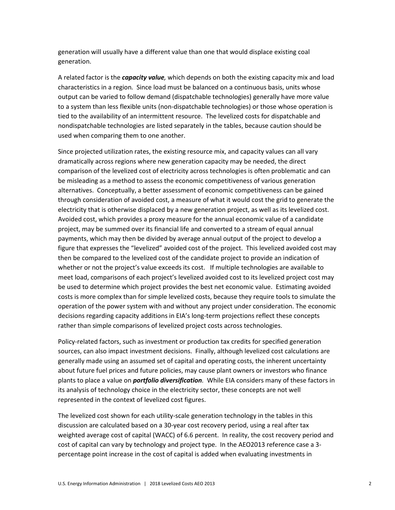generation will usually have a different value than one that would displace existing coal generation.

A related factor is the *capacity value,* which depends on both the existing capacity mix and load characteristics in a region*.* Since load must be balanced on a continuous basis, units whose output can be varied to follow demand (dispatchable technologies) generally have more value to a system than less flexible units (non-dispatchable technologies) or those whose operation is tied to the availability of an intermittent resource. The levelized costs for dispatchable and nondispatchable technologies are listed separately in the tables, because caution should be used when comparing them to one another.

Since projected utilization rates, the existing resource mix, and capacity values can all vary dramatically across regions where new generation capacity may be needed, the direct comparison of the levelized cost of electricity across technologies is often problematic and can be misleading as a method to assess the economic competitiveness of various generation alternatives. Conceptually, a better assessment of economic competitiveness can be gained through consideration of avoided cost, a measure of what it would cost the grid to generate the electricity that is otherwise displaced by a new generation project, as well as its levelized cost. Avoided cost, which provides a proxy measure for the annual economic value of a candidate project, may be summed over its financial life and converted to a stream of equal annual payments, which may then be divided by average annual output of the project to develop a figure that expresses the "levelized" avoided cost of the project. This levelized avoided cost may then be compared to the levelized cost of the candidate project to provide an indication of whether or not the project's value exceeds its cost. If multiple technologies are available to meet load, comparisons of each project's levelized avoided cost to its levelized project cost may be used to determine which project provides the best net economic value. Estimating avoided costs is more complex than for simple levelized costs, because they require tools to simulate the operation of the power system with and without any project under consideration. The economic decisions regarding capacity additions in EIA's long-term projections reflect these concepts rather than simple comparisons of levelized project costs across technologies.

Policy-related factors, such as investment or production tax credits for specified generation sources, can also impact investment decisions. Finally, although levelized cost calculations are generally made using an assumed set of capital and operating costs, the inherent uncertainty about future fuel prices and future policies, may cause plant owners or investors who finance plants to place a value on *portfolio diversification.* While EIA considers many of these factors in its analysis of technology choice in the electricity sector, these concepts are not well represented in the context of levelized cost figures.

The levelized cost shown for each utility-scale generation technology in the tables in this discussion are calculated based on a 30-year cost recovery period, using a real after tax weighted average cost of capital (WACC) of 6.6 percent. In reality, the cost recovery period and cost of capital can vary by technology and project type. In the AEO2013 reference case a 3 percentage point increase in the cost of capital is added when evaluating investments in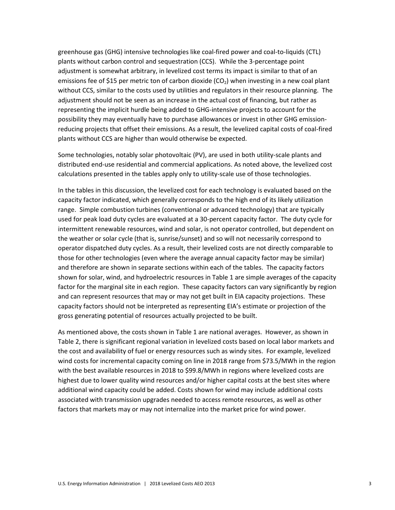greenhouse gas (GHG) intensive technologies like coal-fired power and coal-to-liquids (CTL) plants without carbon control and sequestration (CCS). While the 3-percentage point adjustment is somewhat arbitrary, in levelized cost terms its impact is similar to that of an emissions fee of \$15 per metric ton of carbon dioxide (CO<sub>2</sub>) when investing in a new coal plant without CCS, similar to the costs used by utilities and regulators in their resource planning. The adjustment should not be seen as an increase in the actual cost of financing, but rather as representing the implicit hurdle being added to GHG-intensive projects to account for the possibility they may eventually have to purchase allowances or invest in other GHG emissionreducing projects that offset their emissions. As a result, the levelized capital costs of coal-fired plants without CCS are higher than would otherwise be expected.

Some technologies, notably solar photovoltaic (PV), are used in both utility-scale plants and distributed end-use residential and commercial applications. As noted above, the levelized cost calculations presented in the tables apply only to utility-scale use of those technologies.

In the tables in this discussion, the levelized cost for each technology is evaluated based on the capacity factor indicated, which generally corresponds to the high end of its likely utilization range. Simple combustion turbines (conventional or advanced technology) that are typically used for peak load duty cycles are evaluated at a 30-percent capacity factor. The duty cycle for intermittent renewable resources, wind and solar, is not operator controlled, but dependent on the weather or solar cycle (that is, sunrise/sunset) and so will not necessarily correspond to operator dispatched duty cycles. As a result, their levelized costs are not directly comparable to those for other technologies (even where the average annual capacity factor may be similar) and therefore are shown in separate sections within each of the tables. The capacity factors shown for solar, wind, and hydroelectric resources in Table 1 are simple averages of the capacity factor for the marginal site in each region. These capacity factors can vary significantly by region and can represent resources that may or may not get built in EIA capacity projections. These capacity factors should not be interpreted as representing EIA's estimate or projection of the gross generating potential of resources actually projected to be built.

As mentioned above, the costs shown in Table 1 are national averages. However, as shown in Table 2, there is significant regional variation in levelized costs based on local labor markets and the cost and availability of fuel or energy resources such as windy sites. For example, levelized wind costs for incremental capacity coming on line in 2018 range from \$73.5/MWh in the region with the best available resources in 2018 to \$99.8/MWh in regions where levelized costs are highest due to lower quality wind resources and/or higher capital costs at the best sites where additional wind capacity could be added. Costs shown for wind may include additional costs associated with transmission upgrades needed to access remote resources, as well as other factors that markets may or may not internalize into the market price for wind power.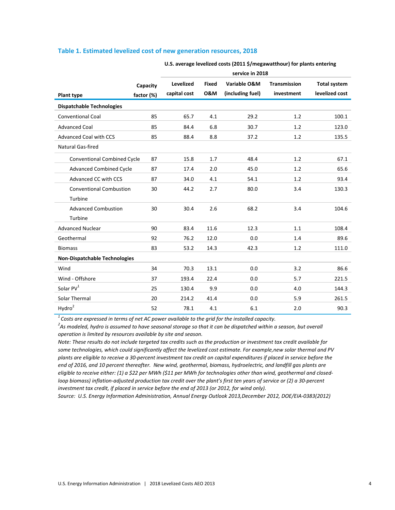### **Table 1. Estimated levelized cost of new generation resources, 2018**

|                                      |            | service in 2018  |                |                  |                     |                     |
|--------------------------------------|------------|------------------|----------------|------------------|---------------------|---------------------|
|                                      | Capacity   | <b>Levelized</b> | <b>Fixed</b>   | Variable O&M     | <b>Transmission</b> | <b>Total system</b> |
| <b>Plant type</b>                    | factor (%) | capital cost     | <b>0&amp;M</b> | (including fuel) | investment          | levelized cost      |
| <b>Dispatchable Technologies</b>     |            |                  |                |                  |                     |                     |
| <b>Conventional Coal</b>             | 85         | 65.7             | 4.1            | 29.2             | 1.2                 | 100.1               |
| <b>Advanced Coal</b>                 | 85         | 84.4             | 6.8            | 30.7             | 1.2                 | 123.0               |
| <b>Advanced Coal with CCS</b>        | 85         | 88.4             | 8.8            | 37.2             | 1.2                 | 135.5               |
| Natural Gas-fired                    |            |                  |                |                  |                     |                     |
| <b>Conventional Combined Cycle</b>   | 87         | 15.8             | 1.7            | 48.4             | 1.2                 | 67.1                |
| <b>Advanced Combined Cycle</b>       | 87         | 17.4             | 2.0            | 45.0             | 1.2                 | 65.6                |
| Advanced CC with CCS                 | 87         | 34.0             | 4.1            | 54.1             | 1.2                 | 93.4                |
| <b>Conventional Combustion</b>       | 30         | 44.2             | 2.7            | 80.0             | 3.4                 | 130.3               |
| Turbine                              |            |                  |                |                  |                     |                     |
| <b>Advanced Combustion</b>           | 30         | 30.4             | 2.6            | 68.2             | 3.4                 | 104.6               |
| Turbine                              |            |                  |                |                  |                     |                     |
| <b>Advanced Nuclear</b>              | 90         | 83.4             | 11.6           | 12.3             | 1.1                 | 108.4               |
| Geothermal                           | 92         | 76.2             | 12.0           | 0.0              | 1.4                 | 89.6                |
| <b>Biomass</b>                       | 83         | 53.2             | 14.3           | 42.3             | 1.2                 | 111.0               |
| <b>Non-Dispatchable Technologies</b> |            |                  |                |                  |                     |                     |
| Wind                                 | 34         | 70.3             | 13.1           | 0.0              | 3.2                 | 86.6                |
| Wind - Offshore                      | 37         | 193.4            | 22.4           | 0.0              | 5.7                 | 221.5               |
| Solar PV <sup>1</sup>                | 25         | 130.4            | 9.9            | 0.0              | 4.0                 | 144.3               |
| Solar Thermal                        | 20         | 214.2            | 41.4           | 0.0              | 5.9                 | 261.5               |
| Hydro <sup>2</sup>                   | 52         | 78.1             | 4.1            | 6.1              | 2.0                 | 90.3                |

**U.S. average levelized costs (2011 \$/megawatthour) for plants entering** 

*1 Costs are expressed in terms of net AC power available to the grid for the installed capacity.*

*2 As modeled, hydro is assumed to have seasonal storage so that it can be dispatched within a season, but overall operation is limited by resources available by site and season.*

*Note: These results do not include targeted tax credits such as the production or investment tax credit available for some technologies, which could significantly affect the levelized cost estimate. For example,new solar thermal and PV plants are eligible to receive a 30-percent investment tax credit on capital expenditures if placed in service before the end of 2016, and 10 percent thereafter. New wind, geothermal, biomass, hydroelectric, and landfill gas plants are eligible to receive either: (1) a \$22 per MWh (\$11 per MWh for technologies other than wind, geothermal and closedloop biomass) inflation-adjusted production tax credit over the plant's first ten years of service or (2) a 30-percent investment tax credit, if placed in service before the end of 2013 (or 2012, for wind only).* 

*Source: U.S. Energy Information Administration, Annual Energy Outlook 2013,December 2012, DOE/EIA-0383(2012)*